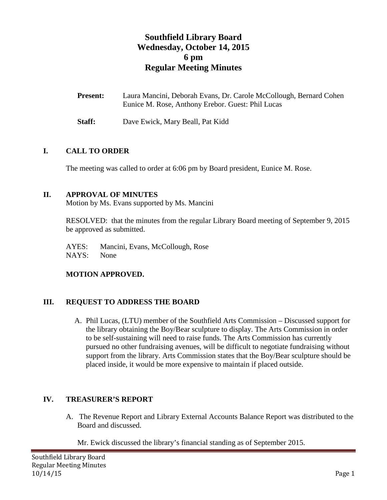# **Southfield Library Board Wednesday, October 14, 2015 6 pm Regular Meeting Minutes**

| <b>Present:</b> | Laura Mancini, Deborah Evans, Dr. Carole McCollough, Bernard Cohen |
|-----------------|--------------------------------------------------------------------|
|                 | Eunice M. Rose, Anthony Erebor. Guest: Phil Lucas                  |

**Staff:** Dave Ewick, Mary Beall, Pat Kidd

## **I. CALL TO ORDER**

The meeting was called to order at 6:06 pm by Board president, Eunice M. Rose.

## **II. APPROVAL OF MINUTES**

Motion by Ms. Evans supported by Ms. Mancini

RESOLVED: that the minutes from the regular Library Board meeting of September 9, 2015 be approved as submitted.

AYES: Mancini, Evans, McCollough, Rose NAYS: None

#### **MOTION APPROVED.**

## **III. REQUEST TO ADDRESS THE BOARD**

A. Phil Lucas, (LTU) member of the Southfield Arts Commission – Discussed support for the library obtaining the Boy/Bear sculpture to display. The Arts Commission in order to be self-sustaining will need to raise funds. The Arts Commission has currently pursued no other fundraising avenues, will be difficult to negotiate fundraising without support from the library. Arts Commission states that the Boy/Bear sculpture should be placed inside, it would be more expensive to maintain if placed outside.

## **IV. TREASURER'S REPORT**

A. The Revenue Report and Library External Accounts Balance Report was distributed to the Board and discussed.

Mr. Ewick discussed the library's financial standing as of September 2015.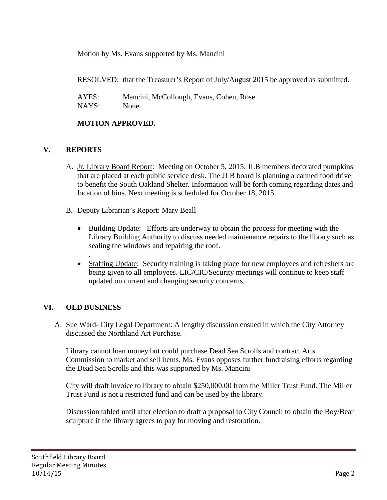Motion by Ms. Evans supported by Ms. Mancini

RESOLVED: that the Treasurer's Report of July/August 2015 be approved as submitted.

| AYES: | Mancini, McCollough, Evans, Cohen, Rose |
|-------|-----------------------------------------|
| NAYS: | None                                    |

## **MOTION APPROVED.**

# **V. REPORTS**

- A. Jr. Library Board Report: Meeting on October 5, 2015. JLB members decorated pumpkins that are placed at each public service desk. The JLB board is planning a canned food drive to benefit the South Oakland Shelter. Information will be forth coming regarding dates and location of bins. Next meeting is scheduled for October 18, 2015.
- B. Deputy Librarian's Report: Mary Beall
	- Building Update: Efforts are underway to obtain the process for meeting with the Library Building Authority to discuss needed maintenance repairs to the library such as sealing the windows and repairing the roof.
	- Staffing Update: Security training is taking place for new employees and refreshers are being given to all employees. LIC/CIC/Security meetings will continue to keep staff updated on current and changing security concerns.

## **VI. OLD BUSINESS**

.

A. Sue Ward- City Legal Department: A lengthy discussion ensued in which the City Attorney discussed the Northland Art Purchase.

Library cannot loan money but could purchase Dead Sea Scrolls and contract Arts Commission to market and sell items. Ms. Evans opposes further fundraising efforts regarding the Dead Sea Scrolls and this was supported by Ms. Mancini

City will draft invoice to library to obtain \$250,000.00 from the Miller Trust Fund. The Miller Trust Fund is not a restricted fund and can be used by the library.

Discussion tabled until after election to draft a proposal to City Council to obtain the Boy/Bear sculpture if the library agrees to pay for moving and restoration.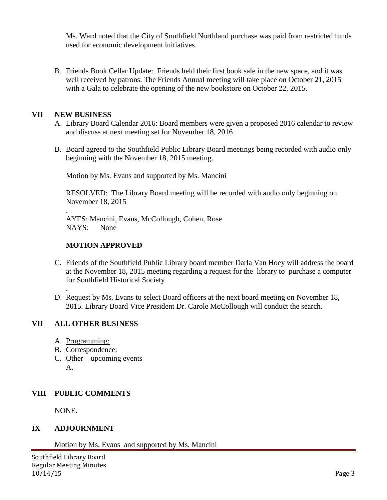Ms. Ward noted that the City of Southfield Northland purchase was paid from restricted funds used for economic development initiatives.

B. Friends Book Cellar Update: Friends held their first book sale in the new space, and it was well received by patrons. The Friends Annual meeting will take place on October 21, 2015 with a Gala to celebrate the opening of the new bookstore on October 22, 2015.

#### **VII NEW BUSINESS**

- A. Library Board Calendar 2016: Board members were given a proposed 2016 calendar to review and discuss at next meeting set for November 18, 2016
- B. Board agreed to the Southfield Public Library Board meetings being recorded with audio only beginning with the November 18, 2015 meeting.

Motion by Ms. Evans and supported by Ms. Mancini

RESOLVED: The Library Board meeting will be recorded with audio only beginning on November 18, 2015

. AYES: Mancini, Evans, McCollough, Cohen, Rose NAYS: None

## **MOTION APPROVED**

- C. Friends of the Southfield Public Library board member Darla Van Hoey will address the board at the November 18, 2015 meeting regarding a request for the library to purchase a computer for Southfield Historical Society
- . D. Request by Ms. Evans to select Board officers at the next board meeting on November 18, 2015. Library Board Vice President Dr. Carole McCollough will conduct the search.

#### **VII ALL OTHER BUSINESS**

- A. Programming:
- B. Correspondence:
- C. Other upcoming events  $A_{\cdot}$

## **VIII PUBLIC COMMENTS**

NONE.

## **IX ADJOURNMENT**

Motion by Ms. Evans and supported by Ms. Mancini